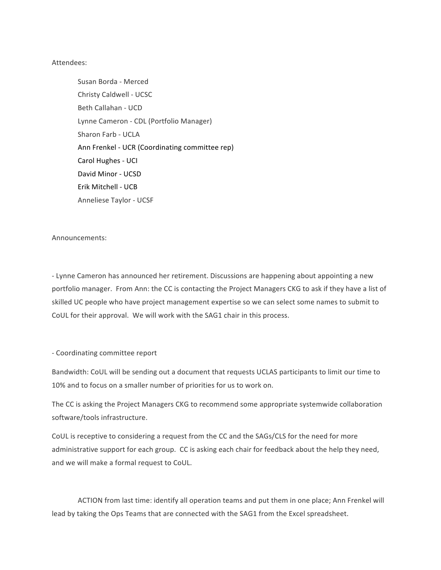## Attendees:

Susan Borda - Merced Christy Caldwell - UCSC Beth Callahan - UCD Lynne Cameron - CDL (Portfolio Manager) Sharon Farb - UCLA Ann Frenkel - UCR (Coordinating committee rep) Carol Hughes - UCI David Minor - UCSD Erik Mitchell - UCB Anneliese Taylor - UCSF

Announcements: 

- Lynne Cameron has announced her retirement. Discussions are happening about appointing a new portfolio manager. From Ann: the CC is contacting the Project Managers CKG to ask if they have a list of skilled UC people who have project management expertise so we can select some names to submit to CoUL for their approval. We will work with the SAG1 chair in this process.

## - Coordinating committee report

Bandwidth: CoUL will be sending out a document that requests UCLAS participants to limit our time to 10% and to focus on a smaller number of priorities for us to work on.

The CC is asking the Project Managers CKG to recommend some appropriate systemwide collaboration software/tools infrastructure.

CoUL is receptive to considering a request from the CC and the SAGs/CLS for the need for more administrative support for each group. CC is asking each chair for feedback about the help they need, and we will make a formal request to CoUL.

ACTION from last time: identify all operation teams and put them in one place; Ann Frenkel will lead by taking the Ops Teams that are connected with the SAG1 from the Excel spreadsheet.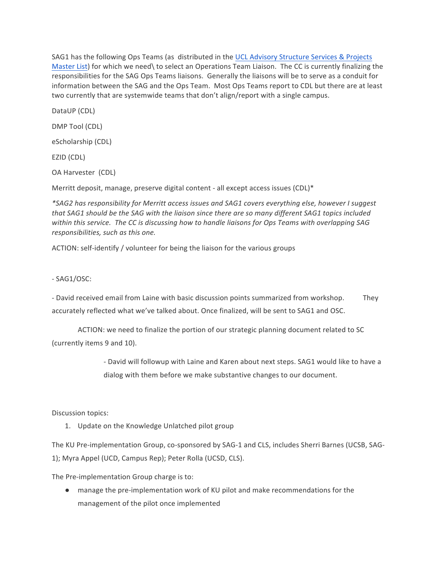SAG1 has the following Ops Teams (as distributed in the UCL Advisory Structure Services & Projects Master List) for which we need\ to select an Operations Team Liaison. The CC is currently finalizing the responsibilities for the SAG Ops Teams liaisons. Generally the liaisons will be to serve as a conduit for information between the SAG and the Ops Team. Most Ops Teams report to CDL but there are at least two currently that are systemwide teams that don't align/report with a single campus.

DataUP (CDL) DMP Tool (CDL) eScholarship (CDL) EZID (CDL)

OA Harvester (CDL)

Merritt deposit, manage, preserve digital content - all except access issues (CDL)\*

*\*SAG2 has responsibility for Merritt access issues and SAG1 covers everything else, however I suggest*  that SAG1 should be the SAG with the liaison since there are so many different SAG1 topics included within this service. The CC is discussing how to handle liaisons for Ops Teams with overlapping SAG *responsibilities, such as this one.*

ACTION: self-identify / volunteer for being the liaison for the various groups

- SAG1/OSC: 

- David received email from Laine with basic discussion points summarized from workshop. They accurately reflected what we've talked about. Once finalized, will be sent to SAG1 and OSC.

ACTION: we need to finalize the portion of our strategic planning document related to SC (currently items 9 and 10).

> - David will followup with Laine and Karen about next steps. SAG1 would like to have a dialog with them before we make substantive changes to our document.

Discussion topics:

1. Update on the Knowledge Unlatched pilot group

The KU Pre-implementation Group, co-sponsored by SAG-1 and CLS, includes Sherri Barnes (UCSB, SAG-1); Myra Appel (UCD, Campus Rep); Peter Rolla (UCSD, CLS).

The Pre-implementation Group charge is to:

• manage the pre-implementation work of KU pilot and make recommendations for the management of the pilot once implemented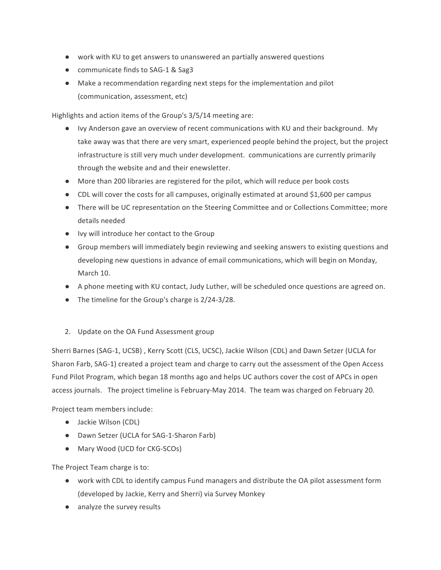- work with KU to get answers to unanswered an partially answered questions
- communicate finds to SAG-1 & Sag3
- Make a recommendation regarding next steps for the implementation and pilot (communication, assessment, etc)

Highlights and action items of the Group's 3/5/14 meeting are:

- Ivy Anderson gave an overview of recent communications with KU and their background. My take away was that there are very smart, experienced people behind the project, but the project infrastructure is still very much under development. communications are currently primarily through the website and and their enewsletter.
- More than 200 libraries are registered for the pilot, which will reduce per book costs
- CDL will cover the costs for all campuses, originally estimated at around \$1,600 per campus
- There will be UC representation on the Steering Committee and or Collections Committee; more details needed
- Ivy will introduce her contact to the Group
- Group members will immediately begin reviewing and seeking answers to existing questions and developing new questions in advance of email communications, which will begin on Monday, March 10.
- A phone meeting with KU contact, Judy Luther, will be scheduled once questions are agreed on.
- $\bullet$  The timeline for the Group's charge is 2/24-3/28.
- 2. Update on the OA Fund Assessment group

Sherri Barnes (SAG-1, UCSB), Kerry Scott (CLS, UCSC), Jackie Wilson (CDL) and Dawn Setzer (UCLA for Sharon Farb, SAG-1) created a project team and charge to carry out the assessment of the Open Access Fund Pilot Program, which began 18 months ago and helps UC authors cover the cost of APCs in open access journals. The project timeline is February-May 2014. The team was charged on February 20.

Project team members include:

- Jackie Wilson (CDL)
- Dawn Setzer (UCLA for SAG-1-Sharon Farb)
- Mary Wood (UCD for CKG-SCOs)

The Project Team charge is to:

- work with CDL to identify campus Fund managers and distribute the OA pilot assessment form (developed by Jackie, Kerry and Sherri) via Survey Monkey
- analyze the survey results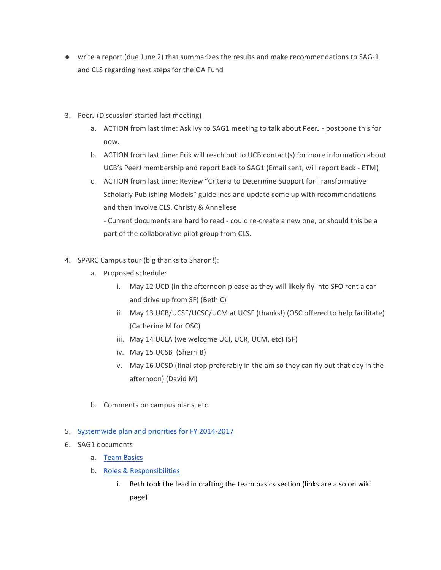- write a report (due June 2) that summarizes the results and make recommendations to SAG-1 and CLS regarding next steps for the OA Fund
- 3. PeerJ (Discussion started last meeting)
	- a. ACTION from last time: Ask Ivy to SAG1 meeting to talk about PeerJ postpone this for now.
	- b. ACTION from last time: Erik will reach out to UCB contact(s) for more information about UCB's PeerJ membership and report back to SAG1 (Email sent, will report back - ETM)
	- c. ACTION from last time: Review "Criteria to Determine Support for Transformative Scholarly Publishing Models" guidelines and update come up with recommendations and then involve CLS. Christy & Anneliese

- Current documents are hard to read - could re-create a new one, or should this be a part of the collaborative pilot group from CLS.

- 4. SPARC Campus tour (big thanks to Sharon!):
	- a. Proposed schedule:
		- i. May 12 UCD (in the afternoon please as they will likely fly into SFO rent a car and drive up from SF) (Beth C)
		- ii. May 13 UCB/UCSF/UCSC/UCM at UCSF (thanks!) (OSC offered to help facilitate) (Catherine M for OSC)
		- iii. May 14 UCLA (we welcome UCI, UCR, UCM, etc) (SF)
		- iv. May 15 UCSB (Sherri B)
		- v. May 16 UCSD (final stop preferably in the am so they can fly out that day in the afternoon) (David M)
	- b. Comments on campus plans, etc.

## 5. Systemwide plan and priorities for FY 2014-2017

- 6. SAG1 documents
	- a. Team Basics
	- b. Roles & Responsibilities
		- i. Beth took the lead in crafting the team basics section (links are also on wiki page)